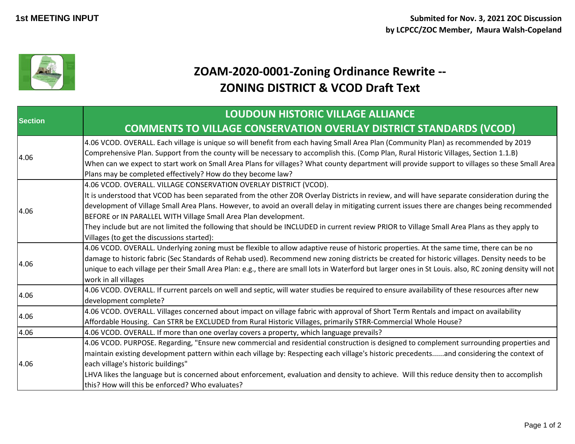

## **ZOAM-2020-0001-Zoning Ordinance Rewrite -- ZONING DISTRICT & VCOD Draft Text**

| <b>Section</b> | <b>LOUDOUN HISTORIC VILLAGE ALLIANCE</b>                                                                                                                                                                                                                                                                                                                                                                                                                                                                                                                                                                                           |
|----------------|------------------------------------------------------------------------------------------------------------------------------------------------------------------------------------------------------------------------------------------------------------------------------------------------------------------------------------------------------------------------------------------------------------------------------------------------------------------------------------------------------------------------------------------------------------------------------------------------------------------------------------|
|                | <b>COMMENTS TO VILLAGE CONSERVATION OVERLAY DISTRICT STANDARDS (VCOD)</b>                                                                                                                                                                                                                                                                                                                                                                                                                                                                                                                                                          |
| 4.06           | 4.06 VCOD. OVERALL. Each village is unique so will benefit from each having Small Area Plan (Community Plan) as recommended by 2019<br>Comprehensive Plan. Support from the county will be necessary to accomplish this. (Comp Plan, Rural Historic Villages, Section 1.1.B)<br>When can we expect to start work on Small Area Plans for villages? What county department will provide support to villages so these Small Area<br>Plans may be completed effectively? How do they become law?                                                                                                                                      |
| 4.06           | 4.06 VCOD. OVERALL. VILLAGE CONSERVATION OVERLAY DISTRICT (VCOD).<br>It is understood that VCOD has been separated from the other ZOR Overlay Districts in review, and will have separate consideration during the<br>development of Village Small Area Plans. However, to avoid an overall delay in mitigating current issues there are changes being recommended<br>BEFORE or IN PARALLEL WITH Village Small Area Plan development.<br>They include but are not limited the following that should be INCLUDED in current review PRIOR to Village Small Area Plans as they apply to<br>Villages (to get the discussions started): |
| 4.06           | 4.06 VCOD. OVERALL. Underlying zoning must be flexible to allow adaptive reuse of historic properties. At the same time, there can be no<br>damage to historic fabric (Sec Standards of Rehab used). Recommend new zoning districts be created for historic villages. Density needs to be<br>unique to each village per their Small Area Plan: e.g., there are small lots in Waterford but larger ones in St Louis. also, RC zoning density will not  <br>work in all villages                                                                                                                                                     |
| 4.06           | 4.06 VCOD. OVERALL. If current parcels on well and septic, will water studies be required to ensure availability of these resources after new<br>development complete?                                                                                                                                                                                                                                                                                                                                                                                                                                                             |
| 4.06           | 4.06 VCOD. OVERALL. Villages concerned about impact on village fabric with approval of Short Term Rentals and impact on availability<br>Affordable Housing. Can STRR be EXCLUDED from Rural Historic Villages, primarily STRR-Commercial Whole House?                                                                                                                                                                                                                                                                                                                                                                              |
| 4.06           | 4.06 VCOD. OVERALL. If more than one overlay covers a property, which language prevails?                                                                                                                                                                                                                                                                                                                                                                                                                                                                                                                                           |
| 4.06           | 4.06 VCOD. PURPOSE. Regarding, "Ensure new commercial and residential construction is designed to complement surrounding properties and<br>maintain existing development pattern within each village by: Respecting each village's historic precedentsand considering the context of<br>each village's historic buildings"<br>LHVA likes the language but is concerned about enforcement, evaluation and density to achieve. Will this reduce density then to accomplish<br>this? How will this be enforced? Who evaluates?                                                                                                        |